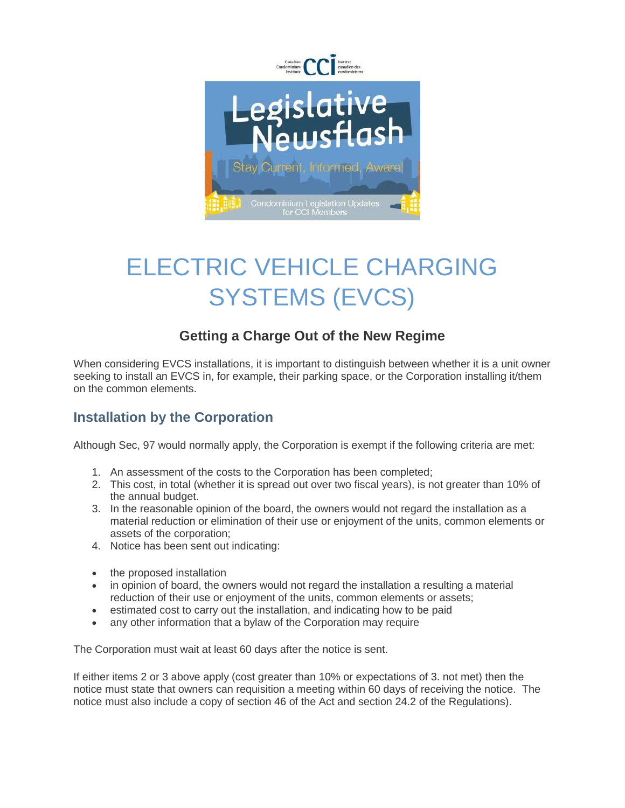

## ELECTRIC VEHICLE CHARGING SYSTEMS (EVCS)

## **Getting a Charge Out of the New Regime**

When considering EVCS installations, it is important to distinguish between whether it is a unit owner seeking to install an EVCS in, for example, their parking space, or the Corporation installing it/them on the common elements.

## **Installation by the Corporation**

Although Sec, 97 would normally apply, the Corporation is exempt if the following criteria are met:

- 1. An assessment of the costs to the Corporation has been completed;
- 2. This cost, in total (whether it is spread out over two fiscal years), is not greater than 10% of the annual budget.
- 3. In the reasonable opinion of the board, the owners would not regard the installation as a material reduction or elimination of their use or enjoyment of the units, common elements or assets of the corporation;
- 4. Notice has been sent out indicating:
- the proposed installation
- in opinion of board, the owners would not regard the installation a resulting a material reduction of their use or enjoyment of the units, common elements or assets;
- estimated cost to carry out the installation, and indicating how to be paid
- any other information that a bylaw of the Corporation may require

The Corporation must wait at least 60 days after the notice is sent.

If either items 2 or 3 above apply (cost greater than 10% or expectations of 3. not met) then the notice must state that owners can requisition a meeting within 60 days of receiving the notice. The notice must also include a copy of section 46 of the Act and section 24.2 of the Regulations).